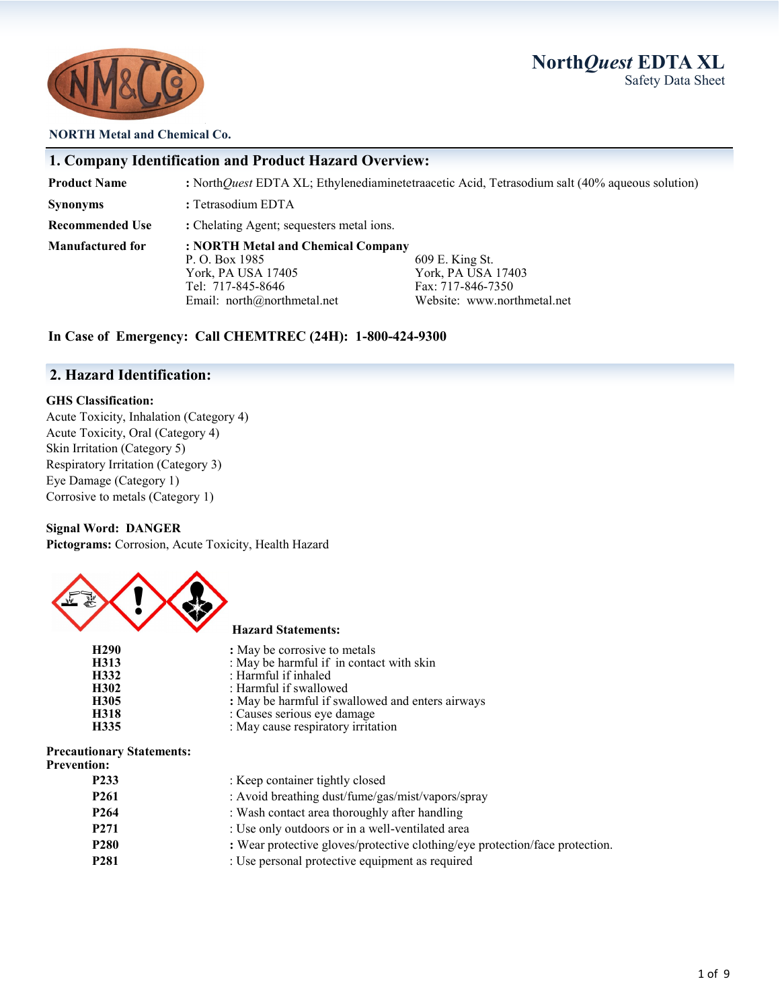# **North***Quest* **EDTA XL** Safety Data Sheet



#### **NORTH Metal and Chemical Co.**

## **1. Company Identification and Product Hazard Overview:**

**Product Name :** North*Quest* EDTA XL; Ethylenediaminetetraacetic Acid, Tetrasodium salt (40% aqueous solution) **Synonyms** : Tetrasodium EDTA **Recommended Use : Chelating Agent; sequesters metal ions. Manufactured for : NORTH Metal and Chemical Company** P. O. Box 1985 609 E. King St.<br>
York, PA USA 17405 609 E. King St. York, PA USA 17403<br>Fax: 717-846-7350 Tel: 717-845-8646<br>
Email: north@northmetal.net<br>
Website: www.northmetal.net<br>
Website: www.northmetal.net Email: north@northmetal.net

### **In Case of Emergency: Call CHEMTREC (24H): 1-800-424-9300**

## **2. Hazard Identification:**

#### **GHS Classification:**

Acute Toxicity, Inhalation (Category 4) Acute Toxicity, Oral (Category 4) Skin Irritation (Category 5) Respiratory Irritation (Category 3) Eye Damage (Category 1) Corrosive to metals (Category 1)

#### **Signal Word: DANGER**

**Pictograms:** Corrosion, Acute Toxicity, Health Hazard



#### **Hazard Statements:**

| H <sub>290</sub> | : May be corrosive to metals                     |
|------------------|--------------------------------------------------|
| H313             | : May be harmful if in contact with skin         |
| H332             | : Harmful if inhaled                             |
| H302             | : Harmful if swallowed                           |
| H305             | : May be harmful if swallowed and enters airways |
| H318             | : Causes serious eye damage                      |
| H335             | : May cause respiratory irritation               |

## **Precautionary Statements:**

| <b>Prevention:</b> |
|--------------------|
|--------------------|

| P <sub>233</sub> | : Keep container tightly closed                                              |
|------------------|------------------------------------------------------------------------------|
| P <sub>261</sub> | : Avoid breathing dust/fume/gas/mist/vapors/spray                            |
| P <sub>264</sub> | : Wash contact area thoroughly after handling                                |
| P <sub>271</sub> | : Use only outdoors or in a well-ventilated area                             |
| P <sub>280</sub> | : Wear protective gloves/protective clothing/eye protection/face protection. |
| P <sub>281</sub> | : Use personal protective equipment as required                              |
|                  |                                                                              |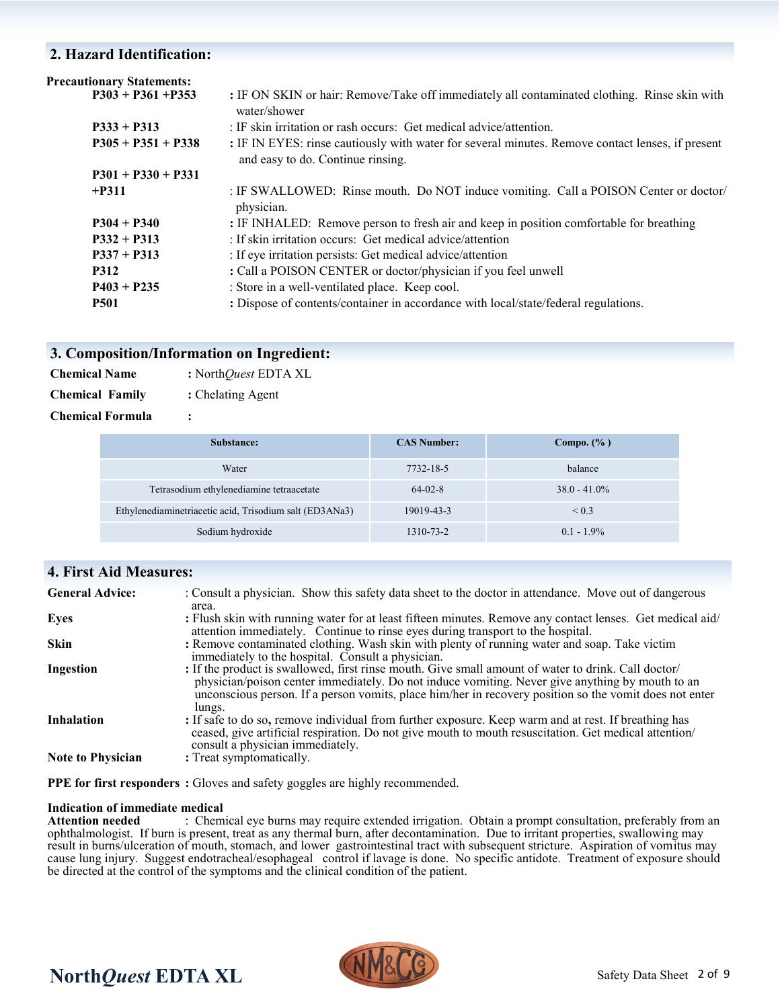# **2. Hazard Identification:**

| <b>Precautionary Statements:</b> |                                                                                                                                       |
|----------------------------------|---------------------------------------------------------------------------------------------------------------------------------------|
| $P303 + P361 + P353$             | : IF ON SKIN or hair: Remove/Take off immediately all contaminated clothing. Rinse skin with<br>water/shower                          |
| $P333 + P313$                    | : IF skin irritation or rash occurs: Get medical advice/attention.                                                                    |
| $P305 + P351 + P338$             | : IF IN EYES: rinse cautiously with water for several minutes. Remove contact lenses, if present<br>and easy to do. Continue rinsing. |
| $P301 + P330 + P331$             |                                                                                                                                       |
| $+P311$                          | : IF SWALLOWED: Rinse mouth. Do NOT induce vomiting. Call a POISON Center or doctor/<br>physician.                                    |
| $P304 + P340$                    | : IF INHALED: Remove person to fresh air and keep in position comfortable for breathing                                               |
| $P332 + P313$                    | : If skin irritation occurs: Get medical advice/attention                                                                             |
| $P337 + P313$                    | : If eye irritation persists: Get medical advice/attention                                                                            |
| <b>P312</b>                      | : Call a POISON CENTER or doctor/physician if you feel unwell                                                                         |
| $P403 + P235$                    | : Store in a well-ventilated place. Keep cool.                                                                                        |
| <b>P501</b>                      | : Dispose of contents/container in accordance with local/state/federal regulations.                                                   |

# **3. Composition/Information on Ingredient:**

| <b>Chemical Name</b>   | : North $\dot{Quest}$ EDTA XL |  |
|------------------------|-------------------------------|--|
| <b>Chemical Family</b> | : Chelating Agent             |  |

**Chemical Formula :** 

| Substance:                                              | <b>CAS Number:</b> | Compo. $(\%$ )  |
|---------------------------------------------------------|--------------------|-----------------|
| Water                                                   | 7732-18-5          | balance         |
| Tetrasodium ethylenediamine tetraacetate                | $64-02-8$          | $38.0 - 41.0\%$ |
| Ethylenediaminetriacetic acid, Trisodium salt (ED3ANa3) | 19019-43-3         | ${}_{0.3}$      |
| Sodium hydroxide                                        | 1310-73-2          | $0.1 - 1.9\%$   |

| <b>4. First Aid Measures:</b> |                                                                                                                                                                                                                                                                                                                            |
|-------------------------------|----------------------------------------------------------------------------------------------------------------------------------------------------------------------------------------------------------------------------------------------------------------------------------------------------------------------------|
| <b>General Advice:</b>        | : Consult a physician. Show this safety data sheet to the doctor in attendance. Move out of dangerous<br>area.                                                                                                                                                                                                             |
| Eyes                          | : Flush skin with running water for at least fifteen minutes. Remove any contact lenses. Get medical aid/<br>attention immediately. Continue to rinse eyes during transport to the hospital.                                                                                                                               |
| <b>Skin</b>                   | : Remove contaminated clothing. Wash skin with plenty of running water and soap. Take victim<br>immediately to the hospital. Consult a physician.                                                                                                                                                                          |
| Ingestion                     | : If the product is swallowed, first rinse mouth. Give small amount of water to drink. Call doctor/<br>physician/poison center immediately. Do not induce vomiting. Never give anything by mouth to an<br>unconscious person. If a person vomits, place him/her in recovery position so the vomit does not enter<br>lungs. |
| <b>Inhalation</b>             | : If safe to do so, remove individual from further exposure. Keep warm and at rest. If breathing has<br>ceased, give artificial respiration. Do not give mouth to mouth resuscitation. Get medical attention/<br>consult a physician immediately.                                                                          |
| <b>Note to Physician</b>      | : Treat symptomatically.                                                                                                                                                                                                                                                                                                   |

**PPE for first responders :** Gloves and safety goggles are highly recommended.

# **Indication of immediate medical**

: Chemical eye burns may require extended irrigation. Obtain a prompt consultation, preferably from an ophthalmologist. If burn is present, treat as any thermal burn, after decontamination. Due to irritant properties, swallowing may result in burns/ulceration of mouth, stomach, and lower gastrointestinal tract with subsequent stricture. Aspiration of vomitus may cause lung injury. Suggest endotracheal/esophageal control if lavage is done. No specific antidote. Treatment of exposure should be directed at the control of the symptoms and the clinical condition of the patient.

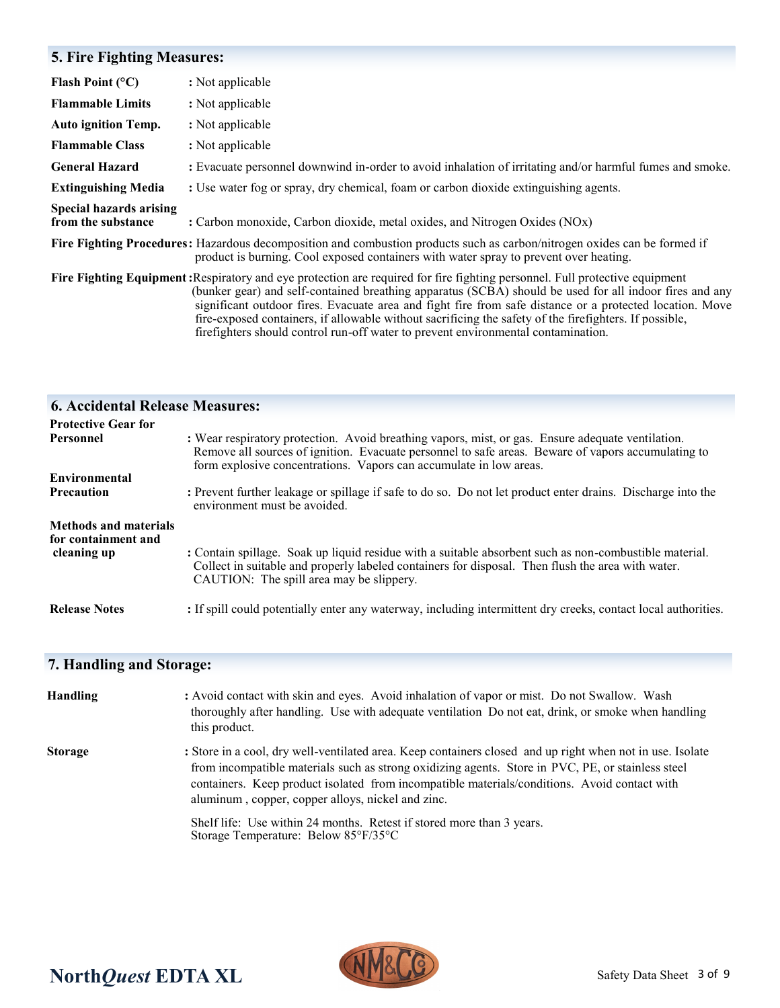# **5. Fire Fighting Measures:**

| Flash Point $(°C)$                                   | : Not applicable                                                                                                                                                                                                                                                                                                                                                                                                                                                                                                                                  |
|------------------------------------------------------|---------------------------------------------------------------------------------------------------------------------------------------------------------------------------------------------------------------------------------------------------------------------------------------------------------------------------------------------------------------------------------------------------------------------------------------------------------------------------------------------------------------------------------------------------|
| <b>Flammable Limits</b>                              | : Not applicable                                                                                                                                                                                                                                                                                                                                                                                                                                                                                                                                  |
| <b>Auto ignition Temp.</b>                           | : Not applicable                                                                                                                                                                                                                                                                                                                                                                                                                                                                                                                                  |
| <b>Flammable Class</b>                               | : Not applicable                                                                                                                                                                                                                                                                                                                                                                                                                                                                                                                                  |
| <b>General Hazard</b>                                | : Evacuate personnel downwind in-order to avoid inhalation of irritating and/or harmful fumes and smoke.                                                                                                                                                                                                                                                                                                                                                                                                                                          |
| <b>Extinguishing Media</b>                           | : Use water fog or spray, dry chemical, foam or carbon dioxide extinguishing agents.                                                                                                                                                                                                                                                                                                                                                                                                                                                              |
| <b>Special hazards arising</b><br>from the substance | : Carbon monoxide, Carbon dioxide, metal oxides, and Nitrogen Oxides (NOx)                                                                                                                                                                                                                                                                                                                                                                                                                                                                        |
|                                                      | Fire Fighting Procedures: Hazardous decomposition and combustion products such as carbon/nitrogen oxides can be formed if<br>product is burning. Cool exposed containers with water spray to prevent over heating.                                                                                                                                                                                                                                                                                                                                |
|                                                      | Fire Fighting Equipment: Respiratory and eye protection are required for fire fighting personnel. Full protective equipment<br>(bunker gear) and self-contained breathing apparatus (SCBA) should be used for all indoor fires and any<br>significant outdoor fires. Evacuate area and fight fire from safe distance or a protected location. Move<br>fire-exposed containers, if allowable without sacrificing the safety of the firefighters. If possible,<br>firefighters should control run-off water to prevent environmental contamination. |

| <b>6. Accidental Release Measures:</b>                             |                                                                                                                                                                                                                                                                               |
|--------------------------------------------------------------------|-------------------------------------------------------------------------------------------------------------------------------------------------------------------------------------------------------------------------------------------------------------------------------|
| <b>Protective Gear for</b>                                         |                                                                                                                                                                                                                                                                               |
| Personnel                                                          | : Wear respiratory protection. Avoid breathing vapors, mist, or gas. Ensure adequate ventilation.<br>Remove all sources of ignition. Evacuate personnel to safe areas. Beware of vapors accumulating to<br>form explosive concentrations. Vapors can accumulate in low areas. |
| Environmental                                                      |                                                                                                                                                                                                                                                                               |
| <b>Precaution</b>                                                  | : Prevent further leakage or spillage if safe to do so. Do not let product enter drains. Discharge into the<br>environment must be avoided.                                                                                                                                   |
| <b>Methods and materials</b><br>for containment and<br>cleaning up | : Contain spillage. Soak up liquid residue with a suitable absorbent such as non-combustible material.<br>Collect in suitable and properly labeled containers for disposal. Then flush the area with water.<br>CAUTION: The spill area may be slippery.                       |
| <b>Release Notes</b>                                               | : If spill could potentially enter any waterway, including intermittent dry creeks, contact local authorities.                                                                                                                                                                |

# **7. Handling and Storage:**

| <b>Handling</b> | : Avoid contact with skin and eyes. Avoid inhalation of vapor or mist. Do not Swallow. Wash<br>thoroughly after handling. Use with adequate ventilation Do not eat, drink, or smoke when handling<br>this product.                                                                                                                                                  |
|-----------------|---------------------------------------------------------------------------------------------------------------------------------------------------------------------------------------------------------------------------------------------------------------------------------------------------------------------------------------------------------------------|
| <b>Storage</b>  | : Store in a cool, dry well-ventilated area. Keep containers closed and up right when not in use. Isolate<br>from incompatible materials such as strong oxidizing agents. Store in PVC, PE, or stainless steel<br>containers. Keep product isolated from incompatible materials/conditions. Avoid contact with<br>aluminum, copper, copper alloys, nickel and zinc. |
|                 | Shelf life: Use within 24 months. Retest if stored more than 3 years.<br>Storage Temperature: Below $85^{\circ}F/35^{\circ}C$                                                                                                                                                                                                                                       |



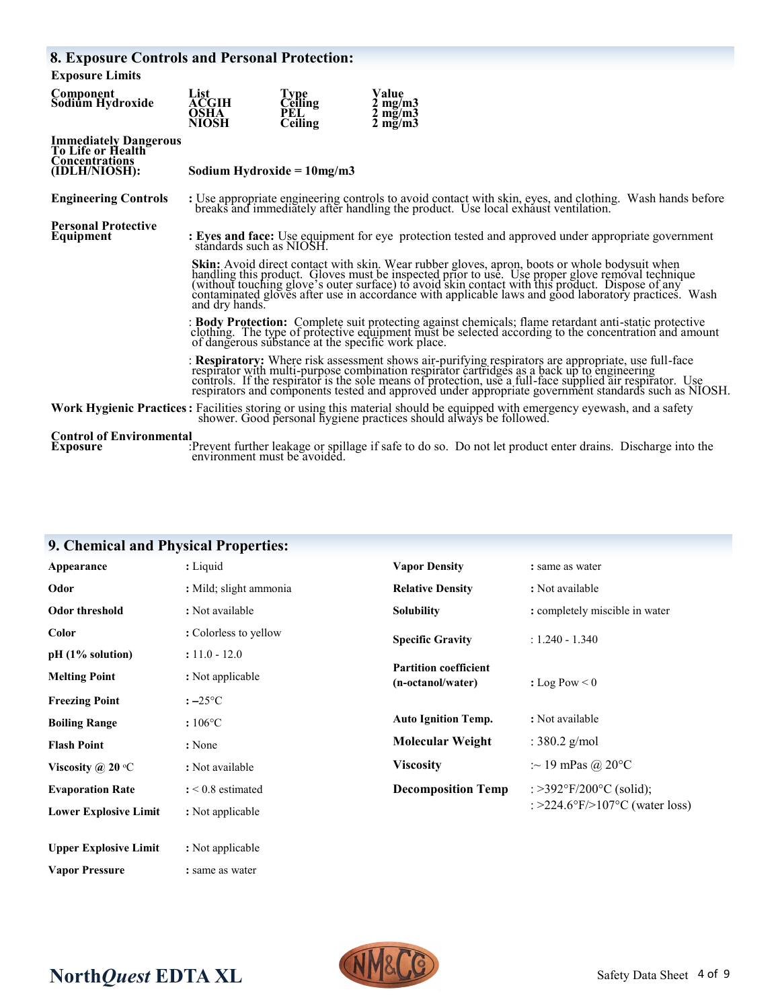| <b>8. Exposure Controls and Personal Protection:</b>                                        |                                                                                                                                                                                                                                                                                                                                                                                                                              |                                                        |                                                                                                                                                                                                                                                                                                                                             |  |
|---------------------------------------------------------------------------------------------|------------------------------------------------------------------------------------------------------------------------------------------------------------------------------------------------------------------------------------------------------------------------------------------------------------------------------------------------------------------------------------------------------------------------------|--------------------------------------------------------|---------------------------------------------------------------------------------------------------------------------------------------------------------------------------------------------------------------------------------------------------------------------------------------------------------------------------------------------|--|
| <b>Exposure Limits</b>                                                                      |                                                                                                                                                                                                                                                                                                                                                                                                                              |                                                        |                                                                                                                                                                                                                                                                                                                                             |  |
| Component<br>Sodium Hydroxide                                                               | List<br>ACGIH<br><b>OSHA</b><br><b>NIOSH</b>                                                                                                                                                                                                                                                                                                                                                                                 | <b>Type</b><br><b>Ceiling</b><br>PEL<br><b>Ceiling</b> | Value<br>$2 \text{ mg/m}$<br>$2 \text{ mg/m}$<br>$2 \text{ mg/m}$                                                                                                                                                                                                                                                                           |  |
| <b>Immediately Dangerous</b><br>To Life or Health<br><b>Concentrations</b><br>(IDLH/NIOSH): | Sodium Hydroxide = $10mg/m3$                                                                                                                                                                                                                                                                                                                                                                                                 |                                                        |                                                                                                                                                                                                                                                                                                                                             |  |
| <b>Engineering Controls</b>                                                                 | : Use appropriate engineering controls to avoid contact with skin, eyes, and clothing. Wash hands before<br>breaks and immediately after handling the product. Use local exhaust ventilation.                                                                                                                                                                                                                                |                                                        |                                                                                                                                                                                                                                                                                                                                             |  |
| <b>Personal Protective</b><br>Equipment                                                     | : Eyes and face: Use equipment for eye protection tested and approved under appropriate government<br>ståndards such as NIOSH.                                                                                                                                                                                                                                                                                               |                                                        |                                                                                                                                                                                                                                                                                                                                             |  |
|                                                                                             | Skin: Avoid direct contact with skin. Wear rubber gloves, apron, boots or whole bodysuit when<br>handling this product. Gloves must be inspected prior to use. Use proper glove removal technique (without touching glove's outer surface) to avoid skin contact with this product. Dispose of any<br>contaminated gloves after use in accordance with applicable laws and good laboratory practices. Wash<br>and dry hands. |                                                        |                                                                                                                                                                                                                                                                                                                                             |  |
|                                                                                             | : Body Protection: Complete suit protecting against chemicals; flame retardant anti-static protective<br>clothing. The type of protective equipment must be selected according to the concentration and amount<br>of dangerous substance at the specific work place.                                                                                                                                                         |                                                        |                                                                                                                                                                                                                                                                                                                                             |  |
|                                                                                             |                                                                                                                                                                                                                                                                                                                                                                                                                              |                                                        | : Respiratory: Where risk assessment shows air-purifying respirators are appropriate, use full-face<br>respirator with multi-purpose combination respirator cartridges as a back up to engineering<br>controls. If the respirator is the sole means of protection, use a full-face supplied air respirator. Use<br>respirators and componen |  |
|                                                                                             |                                                                                                                                                                                                                                                                                                                                                                                                                              |                                                        | Work Hygienic Practices: Facilities storing or using this material should be equipped with emergency eyewash, and a safety shower. Good personal hygiene practices should always be followed.                                                                                                                                               |  |
| <b>Control of Environmental</b><br>Fynosure                                                 |                                                                                                                                                                                                                                                                                                                                                                                                                              |                                                        | $\cdot$ Prevent further leakage or spillage if safe to do so. Do not let product enter drains. Discharge into the                                                                                                                                                                                                                           |  |

**Exposure** :Prevent further leakage or spillage if safe to do so. Do not let product enter drains. Discharge into the environment must be avoided.

| 9. Chemical and Physical Properties: |                        |                                                   |                                |
|--------------------------------------|------------------------|---------------------------------------------------|--------------------------------|
| Appearance                           | : Liquid               | <b>Vapor Density</b>                              | : same as water                |
| Odor                                 | : Mild; slight ammonia | <b>Relative Density</b>                           | : Not available                |
| Odor threshold                       | : Not available        | <b>Solubility</b>                                 | : completely miscible in water |
| <b>Color</b>                         | : Colorless to yellow  | <b>Specific Gravity</b>                           | $: 1.240 - 1.340$              |
| pH (1% solution)                     | $: 11.0 - 12.0$        |                                                   |                                |
| <b>Melting Point</b>                 | : Not applicable       | <b>Partition coefficient</b><br>(n-octanol/water) | : Log Pow $\leq 0$             |
| <b>Freezing Point</b>                | $: -25$ °C             |                                                   |                                |
| <b>Boiling Range</b>                 | $:106^{\circ}C$        | <b>Auto Ignition Temp.</b>                        | : Not available                |
| <b>Flash Point</b>                   | : None                 | <b>Molecular Weight</b>                           | : $380.2$ g/mol                |
| Viscosity @ 20 $\mathrm{^{\circ}C}$  | : Not available        | <b>Viscosity</b>                                  | : $\sim$ 19 mPas @ 20°C        |
| <b>Evaporation Rate</b>              | $: < 0.8$ estimated    | <b>Decomposition Temp</b>                         | : > 392°F/200°C (solid);       |
| <b>Lower Explosive Limit</b>         | : Not applicable       |                                                   | : >224.6°F/>107°C (water loss) |
| <b>Upper Explosive Limit</b>         | : Not applicable       |                                                   |                                |

# $\text{NorthQuest}$  **EDTA XL**

**Vapor Pressure :** same as water

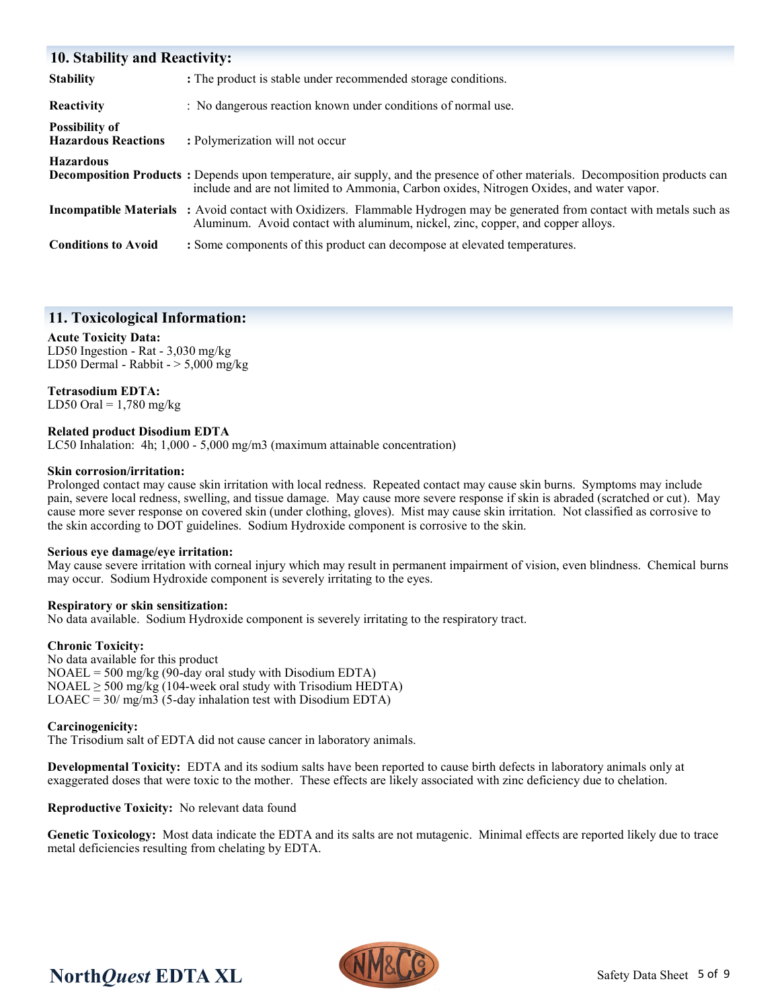| <b>10. Stability and Reactivity:</b>                |                                                                                                                                                                                                                           |  |  |  |
|-----------------------------------------------------|---------------------------------------------------------------------------------------------------------------------------------------------------------------------------------------------------------------------------|--|--|--|
| <b>Stability</b>                                    | : The product is stable under recommended storage conditions.                                                                                                                                                             |  |  |  |
| <b>Reactivity</b>                                   | : No dangerous reaction known under conditions of normal use.                                                                                                                                                             |  |  |  |
| <b>Possibility of</b><br><b>Hazardous Reactions</b> | : Polymerization will not occur                                                                                                                                                                                           |  |  |  |
| <b>Hazardous</b>                                    | Decomposition Products: Depends upon temperature, air supply, and the presence of other materials. Decomposition products can<br>include and are not limited to Ammonia, Carbon oxides, Nitrogen Oxides, and water vapor. |  |  |  |
|                                                     | <b>Incompatible Materials</b> : Avoid contact with Oxidizers. Flammable Hydrogen may be generated from contact with metals such as<br>Aluminum. Avoid contact with aluminum, nickel, zinc, copper, and copper alloys.     |  |  |  |
| <b>Conditions to Avoid</b>                          | : Some components of this product can decompose at elevated temperatures.                                                                                                                                                 |  |  |  |

# **11. Toxicological Information:**

#### **Acute Toxicity Data:**

LD50 Ingestion - Rat - 3,030 mg/kg LD50 Dermal - Rabbit -  $> 5,000$  mg/kg

#### **Tetrasodium EDTA:**

LD50 Oral =  $1,780$  mg/kg

#### **Related product Disodium EDTA**

LC50 Inhalation: 4h; 1,000 - 5,000 mg/m3 (maximum attainable concentration)

#### **Skin corrosion/irritation:**

Prolonged contact may cause skin irritation with local redness. Repeated contact may cause skin burns. Symptoms may include pain, severe local redness, swelling, and tissue damage. May cause more severe response if skin is abraded (scratched or cut). May cause more sever response on covered skin (under clothing, gloves). Mist may cause skin irritation. Not classified as corrosive to the skin according to DOT guidelines. Sodium Hydroxide component is corrosive to the skin.

#### **Serious eye damage/eye irritation:**

May cause severe irritation with corneal injury which may result in permanent impairment of vision, even blindness. Chemical burns may occur. Sodium Hydroxide component is severely irritating to the eyes.

#### **Respiratory or skin sensitization:**

No data available. Sodium Hydroxide component is severely irritating to the respiratory tract.

#### **Chronic Toxicity:**

No data available for this product  $NOAEL = 500$  mg/kg (90-day oral study with Disodium EDTA) NOAEL  $\geq$  500 mg/kg (104-week oral study with Trisodium HEDTA)  $LOAEC = 30 / mg/m3$  (5-day inhalation test with Disodium EDTA)

#### **Carcinogenicity:**

The Trisodium salt of EDTA did not cause cancer in laboratory animals.

**Developmental Toxicity:** EDTA and its sodium salts have been reported to cause birth defects in laboratory animals only at exaggerated doses that were toxic to the mother. These effects are likely associated with zinc deficiency due to chelation.

**Reproductive Toxicity:** No relevant data found

**Genetic Toxicology:** Most data indicate the EDTA and its salts are not mutagenic. Minimal effects are reported likely due to trace metal deficiencies resulting from chelating by EDTA.

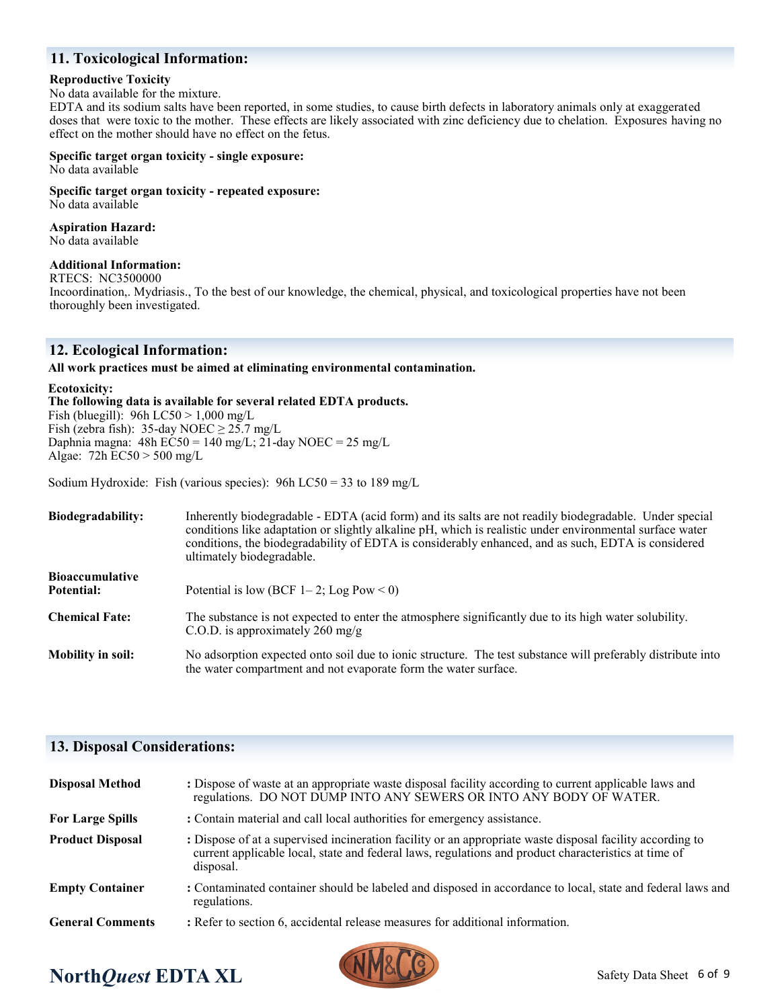# **11. Toxicological Information:**

#### **Reproductive Toxicity**

No data available for the mixture.

EDTA and its sodium salts have been reported, in some studies, to cause birth defects in laboratory animals only at exaggerated doses that were toxic to the mother. These effects are likely associated with zinc deficiency due to chelation. Exposures having no effect on the mother should have no effect on the fetus.

**Specific target organ toxicity - single exposure:** No data available

**Specific target organ toxicity - repeated exposure:** No data available

**Aspiration Hazard:**

No data available

#### **Additional Information:**

RTECS: NC3500000

Incoordination,. Mydriasis., To the best of our knowledge, the chemical, physical, and toxicological properties have not been thoroughly been investigated.

# **12. Ecological Information:**

**All work practices must be aimed at eliminating environmental contamination.** 

#### **Ecotoxicity:**

**The following data is available for several related EDTA products.**

Fish (bluegill): 96h LC50 > 1,000 mg/L Fish (zebra fish): 35-day NOEC  $\geq$  25.7 mg/L Daphnia magna: 48h EC50 = 140 mg/L; 21-day NOEC = 25 mg/L Algae: 72h EC50 > 500 mg/L

Sodium Hydroxide: Fish (various species):  $96h$  LC50 = 33 to 189 mg/L

| <b>Biodegradability:</b>             | Inherently biodegradable - EDTA (acid form) and its salts are not readily biodegradable. Under special<br>conditions like adaptation or slightly alkaline pH, which is realistic under environmental surface water<br>conditions, the biodegradability of EDTA is considerably enhanced, and as such, EDTA is considered<br>ultimately biodegradable. |  |  |  |
|--------------------------------------|-------------------------------------------------------------------------------------------------------------------------------------------------------------------------------------------------------------------------------------------------------------------------------------------------------------------------------------------------------|--|--|--|
| <b>Bioaccumulative</b><br>Potential: | Potential is low (BCF 1–2; Log Pow < 0)                                                                                                                                                                                                                                                                                                               |  |  |  |
| <b>Chemical Fate:</b>                | The substance is not expected to enter the atmosphere significantly due to its high water solubility.<br>C.O.D. is approximately 260 mg/g                                                                                                                                                                                                             |  |  |  |
| <b>Mobility in soil:</b>             | No adsorption expected onto soil due to ionic structure. The test substance will preferably distribute into<br>the water compartment and not evaporate form the water surface.                                                                                                                                                                        |  |  |  |

## **13. Disposal Considerations:**

| <b>Disposal Method</b>  | : Dispose of waste at an appropriate waste disposal facility according to current applicable laws and<br>regulations. DO NOT DUMP INTO ANY SEWERS OR INTO ANY BODY OF WATER.                                                   |  |  |  |
|-------------------------|--------------------------------------------------------------------------------------------------------------------------------------------------------------------------------------------------------------------------------|--|--|--|
| <b>For Large Spills</b> | : Contain material and call local authorities for emergency assistance.                                                                                                                                                        |  |  |  |
| <b>Product Disposal</b> | : Dispose of at a supervised incineration facility or an appropriate waste disposal facility according to<br>current applicable local, state and federal laws, regulations and product characteristics at time of<br>disposal. |  |  |  |
| <b>Empty Container</b>  | : Contaminated container should be labeled and disposed in accordance to local, state and federal laws and<br>regulations.                                                                                                     |  |  |  |
| <b>General Comments</b> | : Refer to section 6, accidental release measures for additional information.                                                                                                                                                  |  |  |  |

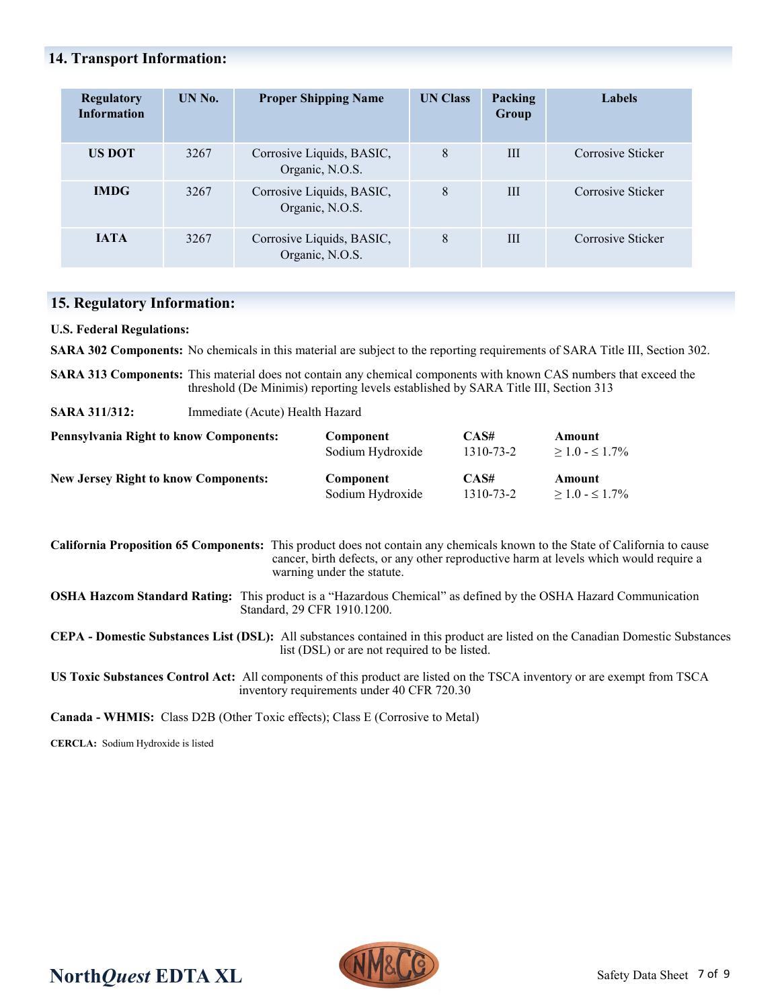# **14. Transport Information:**

| <b>Regulatory</b><br><b>Information</b> | UN No. | <b>Proper Shipping Name</b>                  | <b>UN Class</b> | Packing<br><b>Group</b> | Labels            |
|-----------------------------------------|--------|----------------------------------------------|-----------------|-------------------------|-------------------|
| US DOT                                  | 3267   | Corrosive Liquids, BASIC,<br>Organic, N.O.S. | 8               | Ш                       | Corrosive Sticker |
| <b>IMDG</b>                             | 3267   | Corrosive Liquids, BASIC,<br>Organic, N.O.S. | 8               | III                     | Corrosive Sticker |
| <b>IATA</b>                             | 3267   | Corrosive Liquids, BASIC,<br>Organic, N.O.S. | 8               | Ш                       | Corrosive Sticker |

# **15. Regulatory Information:**

**U.S. Federal Regulations:**

**SARA 302 Components:** No chemicals in this material are subject to the reporting requirements of SARA Title III, Section 302.

**SARA 313 Components:** This material does not contain any chemical components with known CAS numbers that exceed the threshold (De Minimis) reporting levels established by SARA Title III, Section 313

**SARA 311/312:** Immediate (Acute) Health Hazard

| <b>Pennsylvania Right to know Components:</b> | Component        | CAS#      | Amount              |
|-----------------------------------------------|------------------|-----------|---------------------|
|                                               | Sodium Hydroxide | 1310-73-2 | $>1.0 - \leq 1.7\%$ |
| <b>New Jersey Right to know Components:</b>   | Component        | CAS#      | Amount              |
|                                               | Sodium Hydroxide | 1310-73-2 | $>1.0 - \leq 1.7\%$ |

**California Proposition 65 Components:** This product does not contain any chemicals known to the State of California to cause cancer, birth defects, or any other reproductive harm at levels which would require a warning under the statute.

**OSHA Hazcom Standard Rating:** This product is a "Hazardous Chemical" as defined by the OSHA Hazard Communication Standard, 29 CFR 1910.1200.

**CEPA - Domestic Substances List (DSL):** All substances contained in this product are listed on the Canadian Domestic Substances list (DSL) or are not required to be listed.

**US Toxic Substances Control Act:** All components of this product are listed on the TSCA inventory or are exempt from TSCA inventory requirements under 40 CFR 720.30

**Canada - WHMIS:** Class D2B (Other Toxic effects); Class E (Corrosive to Metal)

**CERCLA:** Sodium Hydroxide is listed

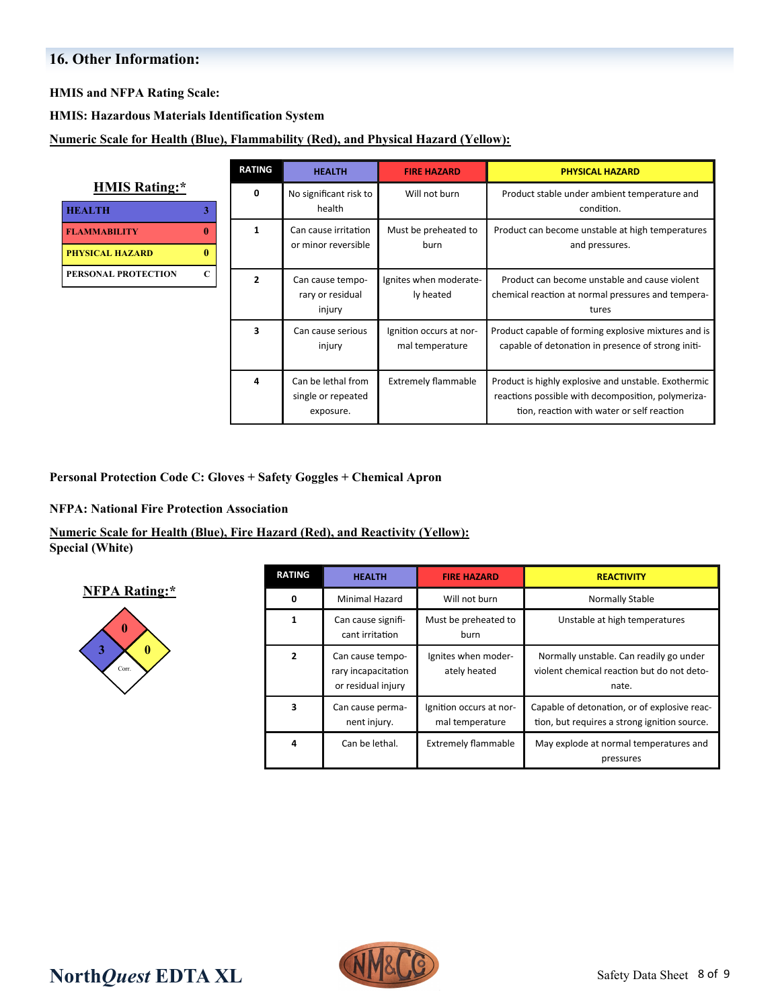# **16. Other Information:**

**HMIS and NFPA Rating Scale:**

**HMIS: Hazardous Materials Identification System**

**Numeric Scale for Health (Blue), Flammability (Red), and Physical Hazard (Yellow):**

|                                                                    | <b>RATING</b>  | <b>HEALTH</b>                                         | <b>FIRE HAZARD</b>                         | <b>PHYSICAL HAZARD</b>                                                                                                                                   |
|--------------------------------------------------------------------|----------------|-------------------------------------------------------|--------------------------------------------|----------------------------------------------------------------------------------------------------------------------------------------------------------|
| <b>HMIS Rating:*</b><br><b>HEALTH</b><br>3.                        | 0              | No significant risk to<br>health                      | Will not burn                              | Product stable under ambient temperature and<br>condition.                                                                                               |
| $\mathbf{0}$<br><b>FLAMMABILITY</b><br>0<br><b>PHYSICAL HAZARD</b> | 1              | Can cause irritation<br>or minor reversible           | Must be preheated to<br>burn               | Product can become unstable at high temperatures<br>and pressures.                                                                                       |
| $\mathbf C$<br>PERSONAL PROTECTION                                 | $\overline{2}$ | Can cause tempo-<br>rary or residual<br>injury        | Ignites when moderate-<br>ly heated        | Product can become unstable and cause violent<br>chemical reaction at normal pressures and tempera-<br>tures                                             |
|                                                                    | 3              | Can cause serious<br>injury                           | Ignition occurs at nor-<br>mal temperature | Product capable of forming explosive mixtures and is<br>capable of detonation in presence of strong initi-                                               |
|                                                                    | 4              | Can be lethal from<br>single or repeated<br>exposure. | <b>Extremely flammable</b>                 | Product is highly explosive and unstable. Exothermic<br>reactions possible with decomposition, polymeriza-<br>tion, reaction with water or self reaction |

**Personal Protection Code C: Gloves + Safety Goggles + Chemical Apron** 

#### **NFPA: National Fire Protection Association**

# **Numeric Scale for Health (Blue), Fire Hazard (Red), and Reactivity (Yellow):**

**Special (White)**

## **NFPA Rating:\***



| <b>RATING</b>  | <b>HEALTH</b>                                                 | <b>FIRE HAZARD</b>                         | <b>REACTIVITY</b>                                                                              |
|----------------|---------------------------------------------------------------|--------------------------------------------|------------------------------------------------------------------------------------------------|
| $\Omega$       | Minimal Hazard                                                | Will not burn                              | Normally Stable                                                                                |
| $\mathbf{1}$   | Can cause signifi-<br>cant irritation                         | Must be preheated to<br>burn               | Unstable at high temperatures                                                                  |
| $\overline{2}$ | Can cause tempo-<br>rary incapacitation<br>or residual injury | Ignites when moder-<br>ately heated        | Normally unstable. Can readily go under<br>violent chemical reaction but do not deto-<br>nate. |
| 3              | Can cause perma-<br>nent injury.                              | Ignition occurs at nor-<br>mal temperature | Capable of detonation, or of explosive reac-<br>tion, but requires a strong ignition source.   |
| 4              | Can be lethal.                                                | <b>Extremely flammable</b>                 | May explode at normal temperatures and<br>pressures                                            |